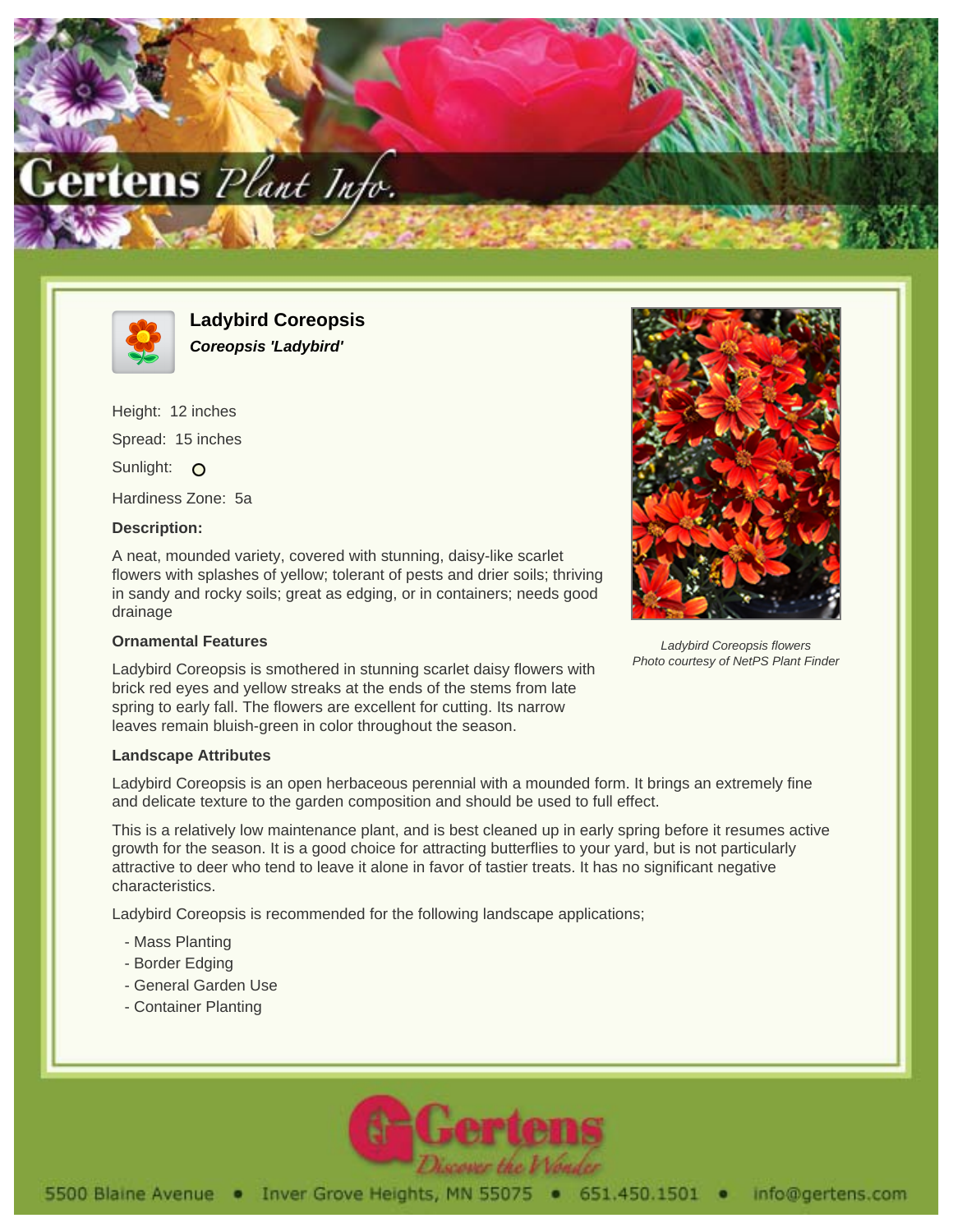



**Ladybird Coreopsis Coreopsis 'Ladybird'**

Height: 12 inches Spread: 15 inches Sunlight: O Hardiness Zone: 5a

## **Description:**

A neat, mounded variety, covered with stunning, daisy-like scarlet flowers with splashes of yellow; tolerant of pests and drier soils; thriving in sandy and rocky soils; great as edging, or in containers; needs good drainage

## **Ornamental Features**

Ladybird Coreopsis is smothered in stunning scarlet daisy flowers with brick red eyes and yellow streaks at the ends of the stems from late spring to early fall. The flowers are excellent for cutting. Its narrow leaves remain bluish-green in color throughout the season.



Ladybird Coreopsis is an open herbaceous perennial with a mounded form. It brings an extremely fine and delicate texture to the garden composition and should be used to full effect.

This is a relatively low maintenance plant, and is best cleaned up in early spring before it resumes active growth for the season. It is a good choice for attracting butterflies to your yard, but is not particularly attractive to deer who tend to leave it alone in favor of tastier treats. It has no significant negative characteristics.

Ladybird Coreopsis is recommended for the following landscape applications;

- Mass Planting
- Border Edging
- General Garden Use
- Container Planting





Photo courtesy of NetPS Plant Finder